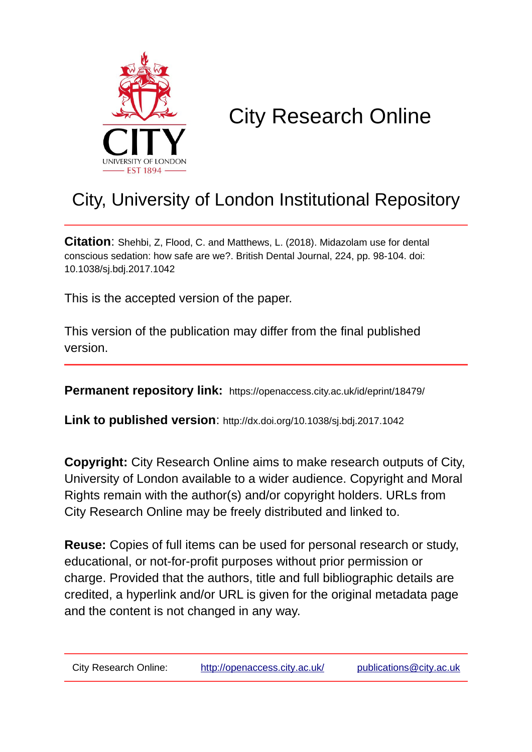

# City Research Online

# City, University of London Institutional Repository

**Citation**: Shehbi, Z, Flood, C. and Matthews, L. (2018). Midazolam use for dental conscious sedation: how safe are we?. British Dental Journal, 224, pp. 98-104. doi: 10.1038/sj.bdj.2017.1042

This is the accepted version of the paper.

This version of the publication may differ from the final published version.

**Permanent repository link:** https://openaccess.city.ac.uk/id/eprint/18479/

**Link to published version**: http://dx.doi.org/10.1038/sj.bdj.2017.1042

**Copyright:** City Research Online aims to make research outputs of City, University of London available to a wider audience. Copyright and Moral Rights remain with the author(s) and/or copyright holders. URLs from City Research Online may be freely distributed and linked to.

**Reuse:** Copies of full items can be used for personal research or study, educational, or not-for-profit purposes without prior permission or charge. Provided that the authors, title and full bibliographic details are credited, a hyperlink and/or URL is given for the original metadata page and the content is not changed in any way.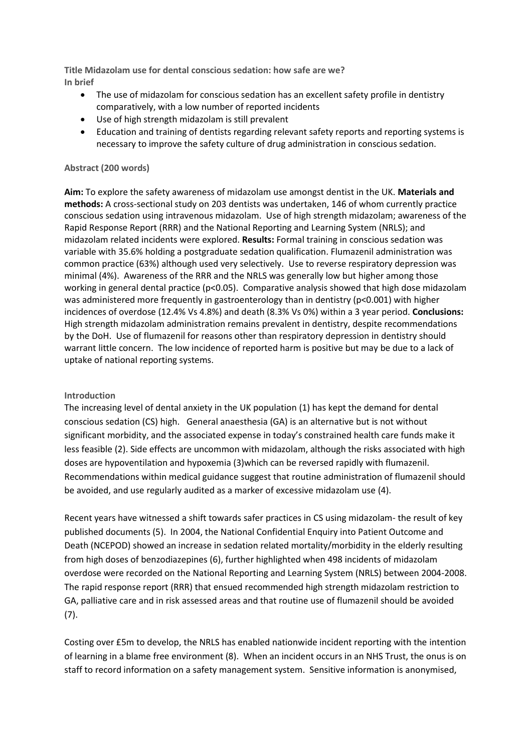**Title Midazolam use for dental conscious sedation: how safe are we? In brief** 

- The use of midazolam for conscious sedation has an excellent safety profile in dentistry comparatively, with a low number of reported incidents
- Use of high strength midazolam is still prevalent
- Education and training of dentists regarding relevant safety reports and reporting systems is necessary to improve the safety culture of drug administration in conscious sedation.

#### **Abstract (200 words)**

**Aim:** To explore the safety awareness of midazolam use amongst dentist in the UK. **Materials and methods:** A cross-sectional study on 203 dentists was undertaken, 146 of whom currently practice conscious sedation using intravenous midazolam. Use of high strength midazolam; awareness of the Rapid Response Report (RRR) and the National Reporting and Learning System (NRLS); and midazolam related incidents were explored. **Results:** Formal training in conscious sedation was variable with 35.6% holding a postgraduate sedation qualification. Flumazenil administration was common practice (63%) although used very selectively. Use to reverse respiratory depression was minimal (4%). Awareness of the RRR and the NRLS was generally low but higher among those working in general dental practice (p<0.05). Comparative analysis showed that high dose midazolam was administered more frequently in gastroenterology than in dentistry (p<0.001) with higher incidences of overdose (12.4% Vs 4.8%) and death (8.3% Vs 0%) within a 3 year period. **Conclusions:** High strength midazolam administration remains prevalent in dentistry, despite recommendations by the DoH. Use of flumazenil for reasons other than respiratory depression in dentistry should warrant little concern. The low incidence of reported harm is positive but may be due to a lack of uptake of national reporting systems.

#### **Introduction**

The increasing level of dental anxiety in the UK population (1) has kept the demand for dental conscious sedation (CS) high. General anaesthesia (GA) is an alternative but is not without significant morbidity, and the associated expense in today's constrained health care funds make it less feasible (2). Side effects are uncommon with midazolam, although the risks associated with high doses are hypoventilation and hypoxemia (3)which can be reversed rapidly with flumazenil. Recommendations within medical guidance suggest that routine administration of flumazenil should be avoided, and use regularly audited as a marker of excessive midazolam use (4).

Recent years have witnessed a shift towards safer practices in CS using midazolam- the result of key published documents (5). In 2004, the National Confidential Enquiry into Patient Outcome and Death (NCEPOD) showed an increase in sedation related mortality/morbidity in the elderly resulting from high doses of benzodiazepines (6), further highlighted when 498 incidents of midazolam overdose were recorded on the National Reporting and Learning System (NRLS) between 2004-2008. The rapid response report (RRR) that ensued recommended high strength midazolam restriction to GA, palliative care and in risk assessed areas and that routine use of flumazenil should be avoided (7).

Costing over £5m to develop, the NRLS has enabled nationwide incident reporting with the intention of learning in a blame free environment (8). When an incident occurs in an NHS Trust, the onus is on staff to record information on a safety management system. Sensitive information is anonymised,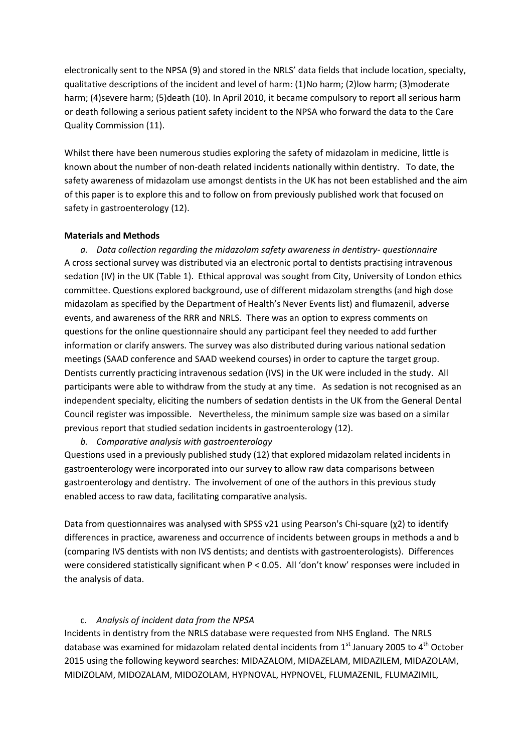electronically sent to the NPSA (9) and stored in the NRLS' data fields that include location, specialty, qualitative descriptions of the incident and level of harm: (1)No harm; (2)low harm; (3)moderate harm; (4)severe harm; (5)death (10). In April 2010, it became compulsory to report all serious harm or death following a serious patient safety incident to the NPSA who forward the data to the Care Quality Commission (11).

Whilst there have been numerous studies exploring the safety of midazolam in medicine, little is known about the number of non-death related incidents nationally within dentistry. To date, the safety awareness of midazolam use amongst dentists in the UK has not been established and the aim of this paper is to explore this and to follow on from previously published work that focused on safety in gastroenterology (12).

#### **Materials and Methods**

*a. Data collection regarding the midazolam safety awareness in dentistry- questionnaire* A cross sectional survey was distributed via an electronic portal to dentists practising intravenous sedation (IV) in the UK (Table 1). Ethical approval was sought from City, University of London ethics committee. Questions explored background, use of different midazolam strengths (and high dose midazolam as specified by the Department of Health's Never Events list) and flumazenil, adverse events, and awareness of the RRR and NRLS. There was an option to express comments on questions for the online questionnaire should any participant feel they needed to add further information or clarify answers. The survey was also distributed during various national sedation meetings (SAAD conference and SAAD weekend courses) in order to capture the target group. Dentists currently practicing intravenous sedation (IVS) in the UK were included in the study. All participants were able to withdraw from the study at any time. As sedation is not recognised as an independent specialty, eliciting the numbers of sedation dentists in the UK from the General Dental Council register was impossible. Nevertheless, the minimum sample size was based on a similar previous report that studied sedation incidents in gastroenterology (12).

*b. Comparative analysis with gastroenterology*

Questions used in a previously published study (12) that explored midazolam related incidents in gastroenterology were incorporated into our survey to allow raw data comparisons between gastroenterology and dentistry. The involvement of one of the authors in this previous study enabled access to raw data, facilitating comparative analysis.

Data from questionnaires was analysed with SPSS v21 using Pearson's Chi-square (χ2) to identify differences in practice, awareness and occurrence of incidents between groups in methods a and b (comparing IVS dentists with non IVS dentists; and dentists with gastroenterologists). Differences were considered statistically significant when P < 0.05. All 'don't know' responses were included in the analysis of data.

### c. *Analysis of incident data from the NPSA*

Incidents in dentistry from the NRLS database were requested from NHS England. The NRLS database was examined for midazolam related dental incidents from  $1<sup>st</sup>$  January 2005 to  $4<sup>th</sup>$  October 2015 using the following keyword searches: MIDAZALOM, MIDAZELAM, MIDAZILEM, MIDAZOLAM, MIDIZOLAM, MIDOZALAM, MIDOZOLAM, HYPNOVAL, HYPNOVEL, FLUMAZENIL, FLUMAZIMIL,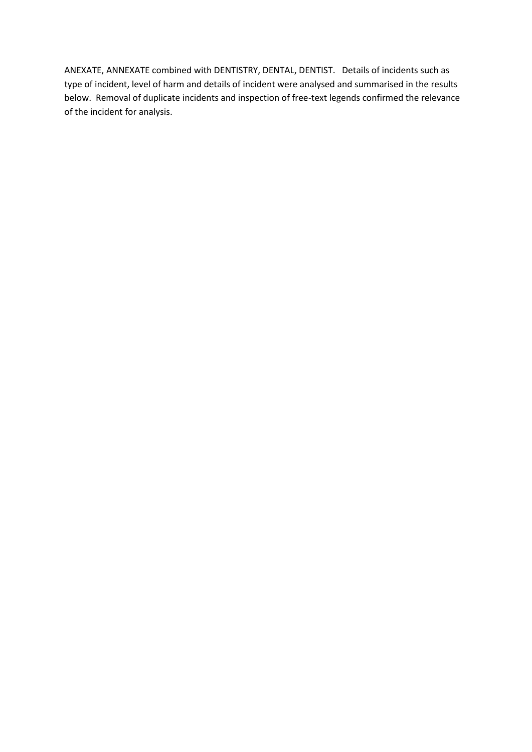ANEXATE, ANNEXATE combined with DENTISTRY, DENTAL, DENTIST. Details of incidents such as type of incident, level of harm and details of incident were analysed and summarised in the results below. Removal of duplicate incidents and inspection of free-text legends confirmed the relevance of the incident for analysis.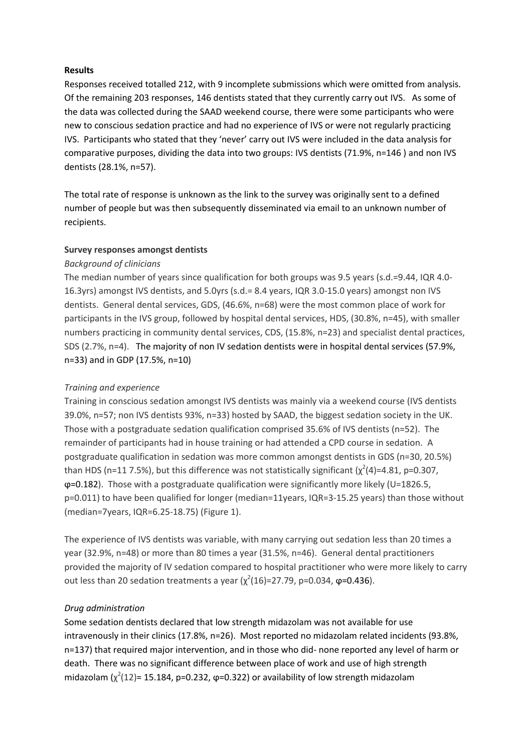#### **Results**

Responses received totalled 212, with 9 incomplete submissions which were omitted from analysis. Of the remaining 203 responses, 146 dentists stated that they currently carry out IVS. As some of the data was collected during the SAAD weekend course, there were some participants who were new to conscious sedation practice and had no experience of IVS or were not regularly practicing IVS. Participants who stated that they 'never' carry out IVS were included in the data analysis for comparative purposes, dividing the data into two groups: IVS dentists (71.9%, n=146 ) and non IVS dentists (28.1%, n=57).

The total rate of response is unknown as the link to the survey was originally sent to a defined number of people but was then subsequently disseminated via email to an unknown number of recipients.

### **Survey responses amongst dentists**

### *Background of clinicians*

The median number of years since qualification for both groups was 9.5 years (s.d.=9.44, IQR 4.0- 16.3yrs) amongst IVS dentists, and 5.0yrs (s.d.= 8.4 years, IQR 3.0-15.0 years) amongst non IVS dentists. General dental services, GDS, (46.6%, n=68) were the most common place of work for participants in the IVS group, followed by hospital dental services, HDS, (30.8%, n=45), with smaller numbers practicing in community dental services, CDS, (15.8%, n=23) and specialist dental practices, SDS (2.7%, n=4). The majority of non IV sedation dentists were in hospital dental services (57.9%, n=33) and in GDP (17.5%, n=10)

# *Training and experience*

Training in conscious sedation amongst IVS dentists was mainly via a weekend course (IVS dentists 39.0%, n=57; non IVS dentists 93%, n=33) hosted by SAAD, the biggest sedation society in the UK. Those with a postgraduate sedation qualification comprised 35.6% of IVS dentists (n=52). The remainder of participants had in house training or had attended a CPD course in sedation. A postgraduate qualification in sedation was more common amongst dentists in GDS (n=30, 20.5%) than HDS (n=11 7.5%), but this difference was not statistically significant ( $\chi^2(4)$ =4.81, p=0.307,  $\phi$ =0.182). Those with a postgraduate qualification were significantly more likely (U=1826.5, p=0.011) to have been qualified for longer (median=11years, IQR=3-15.25 years) than those without (median=7years, IQR=6.25-18.75) (Figure 1).

The experience of IVS dentists was variable, with many carrying out sedation less than 20 times a year (32.9%, n=48) or more than 80 times a year (31.5%, n=46). General dental practitioners provided the majority of IV sedation compared to hospital practitioner who were more likely to carry out less than 20 sedation treatments a year ( $\chi^2(16)$ =27.79, p=0.034, φ=0.436).

# *Drug administration*

Some sedation dentists declared that low strength midazolam was not available for use intravenously in their clinics (17.8%, n=26). Most reported no midazolam related incidents (93.8%, n=137) that required major intervention, and in those who did- none reported any level of harm or death. There was no significant difference between place of work and use of high strength midazolam  $(\chi^2(12)$ = 15.184, p=0.232,  $\varphi$ =0.322) or availability of low strength midazolam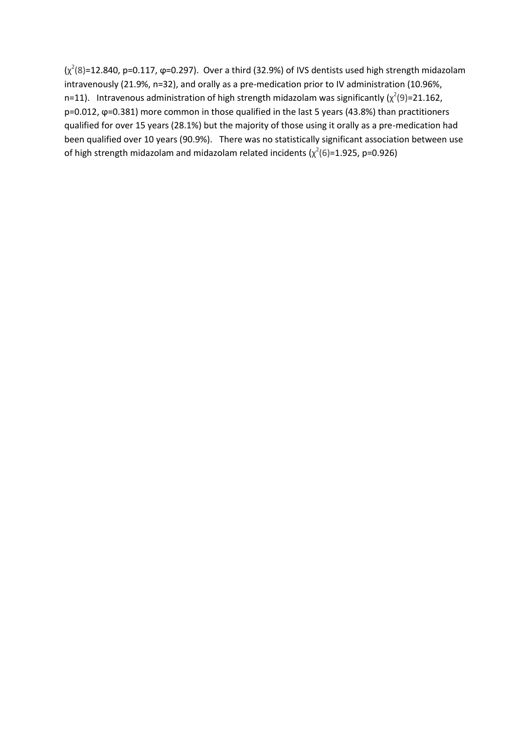$(\chi^2(8)=12.840, p=0.117, \varphi=0.297)$ . Over a third (32.9%) of IVS dentists used high strength midazolam intravenously (21.9%, n=32), and orally as a pre-medication prior to IV administration (10.96%, n=11). Intravenous administration of high strength midazolam was significantly ( $\chi^2(9)$ =21.162, p=0.012, ϕ=0.381) more common in those qualified in the last 5 years (43.8%) than practitioners qualified for over 15 years (28.1%) but the majority of those using it orally as a pre-medication had been qualified over 10 years (90.9%). There was no statistically significant association between use of high strength midazolam and midazolam related incidents ( $\chi^2(6)$ =1.925, p=0.926)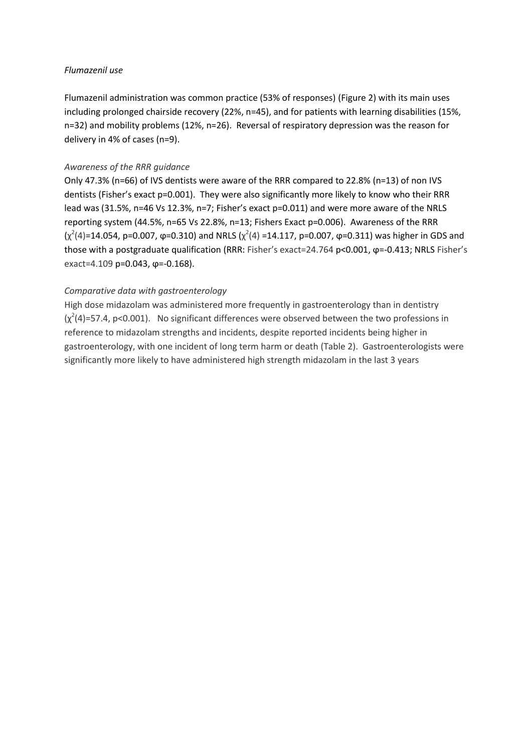#### *Flumazenil use*

Flumazenil administration was common practice (53% of responses) (Figure 2) with its main uses including prolonged chairside recovery (22%, n=45), and for patients with learning disabilities (15%, n=32) and mobility problems (12%, n=26). Reversal of respiratory depression was the reason for delivery in 4% of cases (n=9).

#### *Awareness of the RRR guidance*

Only 47.3% (n=66) of IVS dentists were aware of the RRR compared to 22.8% (n=13) of non IVS dentists (Fisher's exact p=0.001). They were also significantly more likely to know who their RRR lead was (31.5%, n=46 Vs 12.3%, n=7; Fisher's exact p=0.011) and were more aware of the NRLS reporting system (44.5%, n=65 Vs 22.8%, n=13; Fishers Exact p=0.006). Awareness of the RRR  $(\chi^2(4)=14.054, p=0.007, \varphi=0.310)$  and NRLS  $(\chi^2(4)=14.117, p=0.007, \varphi=0.311)$  was higher in GDS and those with a postgraduate qualification (RRR: Fisher's exact=24.764 p<0.001, φ=-0.413; NRLS Fisher's exact=4.109 p=0.043, φ=-0.168).

#### *Comparative data with gastroenterology*

High dose midazolam was administered more frequently in gastroenterology than in dentistry  $(x<sup>2</sup>(4)=57.4$ , p<0.001). No significant differences were observed between the two professions in reference to midazolam strengths and incidents, despite reported incidents being higher in gastroenterology, with one incident of long term harm or death (Table 2). Gastroenterologists were significantly more likely to have administered high strength midazolam in the last 3 years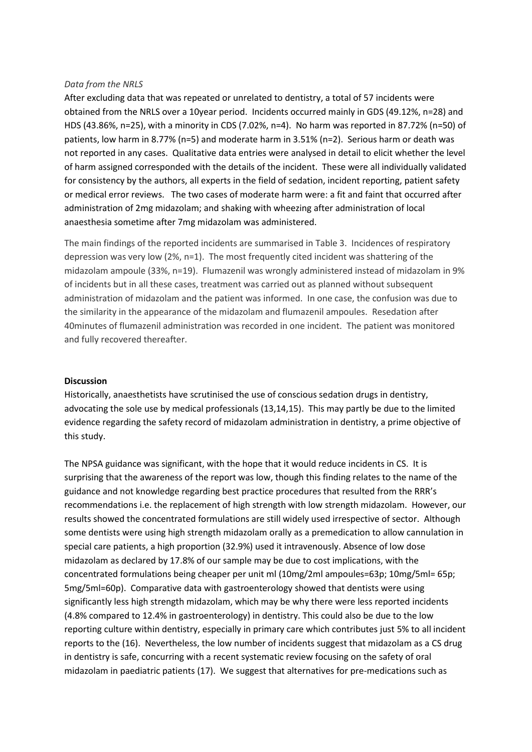#### *Data from the NRLS*

After excluding data that was repeated or unrelated to dentistry, a total of 57 incidents were obtained from the NRLS over a 10year period. Incidents occurred mainly in GDS (49.12%, n=28) and HDS (43.86%, n=25), with a minority in CDS (7.02%, n=4). No harm was reported in 87.72% (n=50) of patients, low harm in 8.77% (n=5) and moderate harm in 3.51% (n=2). Serious harm or death was not reported in any cases. Qualitative data entries were analysed in detail to elicit whether the level of harm assigned corresponded with the details of the incident. These were all individually validated for consistency by the authors, all experts in the field of sedation, incident reporting, patient safety or medical error reviews. The two cases of moderate harm were: a fit and faint that occurred after administration of 2mg midazolam; and shaking with wheezing after administration of local anaesthesia sometime after 7mg midazolam was administered.

The main findings of the reported incidents are summarised in Table 3. Incidences of respiratory depression was very low (2%, n=1). The most frequently cited incident was shattering of the midazolam ampoule (33%, n=19). Flumazenil was wrongly administered instead of midazolam in 9% of incidents but in all these cases, treatment was carried out as planned without subsequent administration of midazolam and the patient was informed. In one case, the confusion was due to the similarity in the appearance of the midazolam and flumazenil ampoules. Resedation after 40minutes of flumazenil administration was recorded in one incident. The patient was monitored and fully recovered thereafter.

#### **Discussion**

Historically, anaesthetists have scrutinised the use of conscious sedation drugs in dentistry, advocating the sole use by medical professionals (13,14,15). This may partly be due to the limited evidence regarding the safety record of midazolam administration in dentistry, a prime objective of this study.

The NPSA guidance was significant, with the hope that it would reduce incidents in CS. It is surprising that the awareness of the report was low, though this finding relates to the name of the guidance and not knowledge regarding best practice procedures that resulted from the RRR's recommendations i.e. the replacement of high strength with low strength midazolam. However, our results showed the concentrated formulations are still widely used irrespective of sector. Although some dentists were using high strength midazolam orally as a premedication to allow cannulation in special care patients, a high proportion (32.9%) used it intravenously. Absence of low dose midazolam as declared by 17.8% of our sample may be due to cost implications, with the concentrated formulations being cheaper per unit ml (10mg/2ml ampoules=63p; 10mg/5ml= 65p; 5mg/5ml=60p). Comparative data with gastroenterology showed that dentists were using significantly less high strength midazolam, which may be why there were less reported incidents (4.8% compared to 12.4% in gastroenterology) in dentistry. This could also be due to the low reporting culture within dentistry, especially in primary care which contributes just 5% to all incident reports to the (16). Nevertheless, the low number of incidents suggest that midazolam as a CS drug in dentistry is safe, concurring with a recent systematic review focusing on the safety of oral midazolam in paediatric patients (17). We suggest that alternatives for pre-medications such as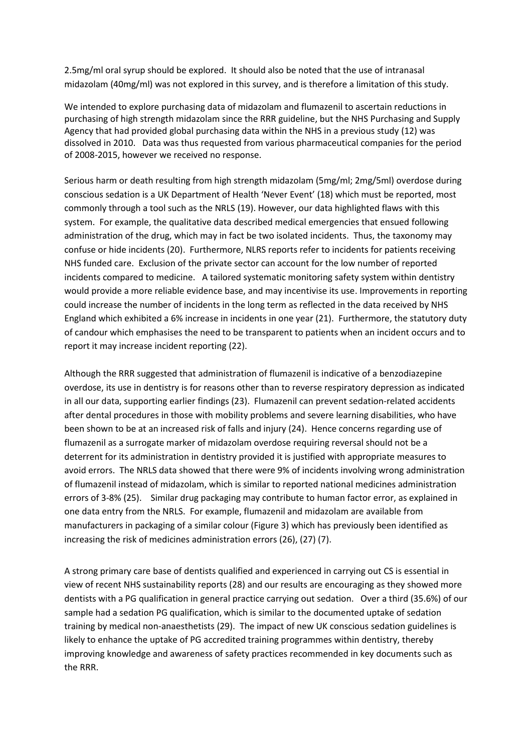2.5mg/ml oral syrup should be explored. It should also be noted that the use of intranasal midazolam (40mg/ml) was not explored in this survey, and is therefore a limitation of this study.

We intended to explore purchasing data of midazolam and flumazenil to ascertain reductions in purchasing of high strength midazolam since the RRR guideline, but the NHS Purchasing and Supply Agency that had provided global purchasing data within the NHS in a previous study (12) was dissolved in 2010. Data was thus requested from various pharmaceutical companies for the period of 2008-2015, however we received no response.

Serious harm or death resulting from high strength midazolam (5mg/ml; 2mg/5ml) overdose during conscious sedation is a UK Department of Health 'Never Event' (18) which must be reported, most commonly through a tool such as the NRLS (19). However, our data highlighted flaws with this system. For example, the qualitative data described medical emergencies that ensued following administration of the drug, which may in fact be two isolated incidents. Thus, the taxonomy may confuse or hide incidents (20). Furthermore, NLRS reports refer to incidents for patients receiving NHS funded care. Exclusion of the private sector can account for the low number of reported incidents compared to medicine. A tailored systematic monitoring safety system within dentistry would provide a more reliable evidence base, and may incentivise its use. Improvements in reporting could increase the number of incidents in the long term as reflected in the data received by NHS England which exhibited a 6% increase in incidents in one year (21). Furthermore, the statutory duty of candour which emphasises the need to be transparent to patients when an incident occurs and to report it may increase incident reporting (22).

Although the RRR suggested that administration of flumazenil is indicative of a benzodiazepine overdose, its use in dentistry is for reasons other than to reverse respiratory depression as indicated in all our data, supporting earlier findings (23). Flumazenil can prevent sedation-related accidents after dental procedures in those with mobility problems and severe learning disabilities, who have been shown to be at an increased risk of falls and injury (24). Hence concerns regarding use of flumazenil as a surrogate marker of midazolam overdose requiring reversal should not be a deterrent for its administration in dentistry provided it is justified with appropriate measures to avoid errors. The NRLS data showed that there were 9% of incidents involving wrong administration of flumazenil instead of midazolam, which is similar to reported national medicines administration errors of 3-8% (25). Similar drug packaging may contribute to human factor error, as explained in one data entry from the NRLS. For example, flumazenil and midazolam are available from manufacturers in packaging of a similar colour (Figure 3) which has previously been identified as increasing the risk of medicines administration errors (26), (27) (7).

A strong primary care base of dentists qualified and experienced in carrying out CS is essential in view of recent NHS sustainability reports (28) and our results are encouraging as they showed more dentists with a PG qualification in general practice carrying out sedation. Over a third (35.6%) of our sample had a sedation PG qualification, which is similar to the documented uptake of sedation training by medical non-anaesthetists (29). The impact of new UK conscious sedation guidelines is likely to enhance the uptake of PG accredited training programmes within dentistry, thereby improving knowledge and awareness of safety practices recommended in key documents such as the RRR.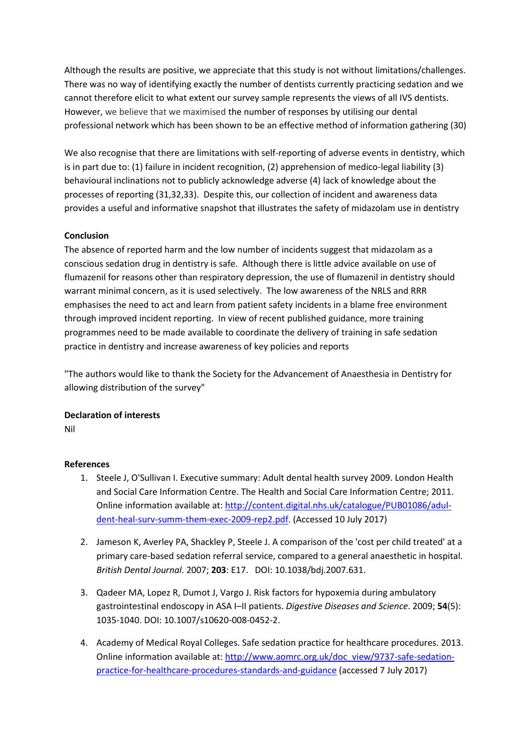Although the results are positive, we appreciate that this study is not without limitations/challenges. There was no way of identifying exactly the number of dentists currently practicing sedation and we cannot therefore elicit to what extent our survey sample represents the views of all IVS dentists. However, we believe that we maximised the number of responses by utilising our dental professional network which has been shown to be an effective method of information gathering (30)

We also recognise that there are limitations with self-reporting of adverse events in dentistry, which is in part due to: (1) failure in incident recognition, (2) apprehension of medico-legal liability (3) behavioural inclinations not to publicly acknowledge adverse (4) lack of knowledge about the processes of reporting (31,32,33). Despite this, our collection of incident and awareness data provides a useful and informative snapshot that illustrates the safety of midazolam use in dentistry

# **Conclusion**

The absence of reported harm and the low number of incidents suggest that midazolam as a conscious sedation drug in dentistry is safe. Although there is little advice available on use of flumazenil for reasons other than respiratory depression, the use of flumazenil in dentistry should warrant minimal concern, as it is used selectively. The low awareness of the NRLS and RRR emphasises the need to act and learn from patient safety incidents in a blame free environment through improved incident reporting. In view of recent published guidance, more training programmes need to be made available to coordinate the delivery of training in safe sedation practice in dentistry and increase awareness of key policies and reports

"The authors would like to thank the Society for the Advancement of Anaesthesia in Dentistry for allowing distribution of the survey"

# **Declaration of interests**

Nil

# **References**

- 1. Steele J, O'Sullivan I. Executive summary: Adult dental health survey 2009. London Health and Social Care Information Centre. The Health and Social Care Information Centre; 2011. Online information available at: [http://content.digital.nhs.uk/catalogue/PUB01086/adul](http://content.digital.nhs.uk/catalogue/PUB01086/adul-dent-heal-surv-summ-them-exec-2009-rep2.pdf)[dent-heal-surv-summ-them-exec-2009-rep2.pdf.](http://content.digital.nhs.uk/catalogue/PUB01086/adul-dent-heal-surv-summ-them-exec-2009-rep2.pdf) (Accessed 10 July 2017)
- 2. Jameson K, Averley PA, Shackley P, Steele J. A comparison of the 'cost per child treated' at a primary care-based sedation referral service, compared to a general anaesthetic in hospital. *British Dental Journal*. 2007; **203**: E17. DOI: 10.1038/bdj.2007.631.
- 3. Qadeer MA, Lopez R, Dumot J, Vargo J. Risk factors for hypoxemia during ambulatory gastrointestinal endoscopy in ASA I–II patients. *Digestive Diseases and Science*. 2009; **54**(5): 1035-1040. DOI: 10.1007/s10620-008-0452-2.
- 4. Academy of Medical Royal Colleges. Safe sedation practice for healthcare procedures. 2013. Online information available at: [http://www.aomrc.org.uk/doc\\_view/9737-safe-sedation](http://www.aomrc.org.uk/doc_view/9737-safe-sedation-practice-for-healthcare-procedures-standards-and-guidance)[practice-for-healthcare-procedures-standards-and-guidance](http://www.aomrc.org.uk/doc_view/9737-safe-sedation-practice-for-healthcare-procedures-standards-and-guidance) (accessed 7 July 2017)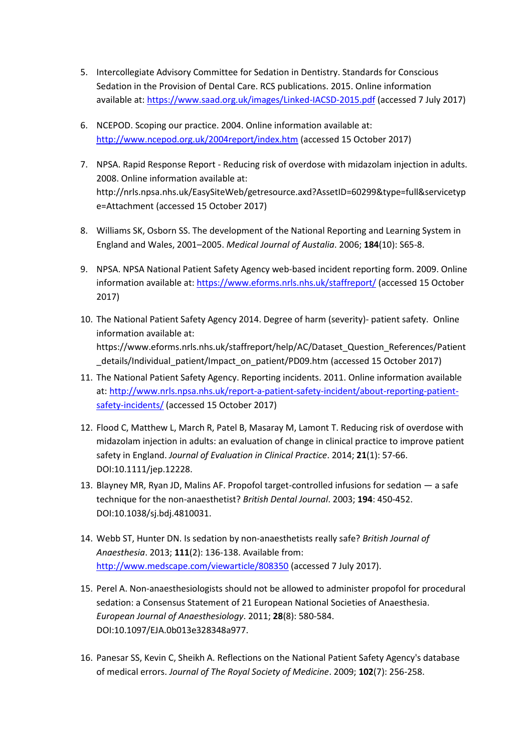- 5. Intercollegiate Advisory Committee for Sedation in Dentistry. Standards for Conscious Sedation in the Provision of Dental Care. RCS publications. 2015. Online information available at[: https://www.saad.org.uk/images/Linked-IACSD-2015.pdf](https://www.saad.org.uk/images/Linked-IACSD-2015.pdf) (accessed 7 July 2017)
- 6. NCEPOD. Scoping our practice. 2004. Online information available at: <http://www.ncepod.org.uk/2004report/index.htm> (accessed 15 October 2017)
- 7. NPSA. Rapid Response Report Reducing risk of overdose with midazolam injection in adults. 2008. Online information available at: http://nrls.npsa.nhs.uk/EasySiteWeb/getresource.axd?AssetID=60299&type=full&servicetyp e=Attachment (accessed 15 October 2017)
- 8. Williams SK, Osborn SS. The development of the National Reporting and Learning System in England and Wales, 2001–2005. *Medical Journal of Austalia*. 2006; **184**(10): S65-8.
- 9. NPSA. NPSA National Patient Safety Agency web-based incident reporting form. 2009. Online information available at:<https://www.eforms.nrls.nhs.uk/staffreport/> (accessed 15 October 2017)
- 10. The National Patient Safety Agency 2014. Degree of harm (severity)- patient safety. Online information available at: https://www.eforms.nrls.nhs.uk/staffreport/help/AC/Dataset\_Question\_References/Patient \_details/Individual\_patient/Impact\_on\_patient/PD09.htm (accessed 15 October 2017)
- 11. The National Patient Safety Agency. Reporting incidents. 2011. Online information available at: [http://www.nrls.npsa.nhs.uk/report-a-patient-safety-incident/about-reporting-patient](http://www.nrls.npsa.nhs.uk/report-a-patient-safety-incident/about-reporting-patient-safety-incidents/)[safety-incidents/](http://www.nrls.npsa.nhs.uk/report-a-patient-safety-incident/about-reporting-patient-safety-incidents/) (accessed 15 October 2017)
- 12. Flood C, Matthew L, March R, Patel B, Masaray M, Lamont T. Reducing risk of overdose with midazolam injection in adults: an evaluation of change in clinical practice to improve patient safety in England. *Journal of Evaluation in Clinical Practice*. 2014; **21**(1): 57-66. DOI:10.1111/jep.12228.
- 13. Blayney MR, Ryan JD, Malins AF. Propofol target-controlled infusions for sedation a safe technique for the non-anaesthetist? *British Dental Journal*. 2003; **194**: 450-452. DOI:10.1038/sj.bdj.4810031.
- 14. Webb ST, Hunter DN. Is sedation by non-anaesthetists really safe? *British Journal of Anaesthesia*. 2013; **111**(2): 136-138. Available from: <http://www.medscape.com/viewarticle/808350> (accessed 7 July 2017).
- 15. Perel A. Non-anaesthesiologists should not be allowed to administer propofol for procedural sedation: a Consensus Statement of 21 European National Societies of Anaesthesia. *European Journal of Anaesthesiology*. 2011; **28**(8): 580-584. DOI:10.1097/EJA.0b013e328348a977.
- 16. Panesar SS, Kevin C, Sheikh A. Reflections on the National Patient Safety Agency's database of medical errors. *Journal of The Royal Society of Medicine*. 2009; **102**(7): 256-258.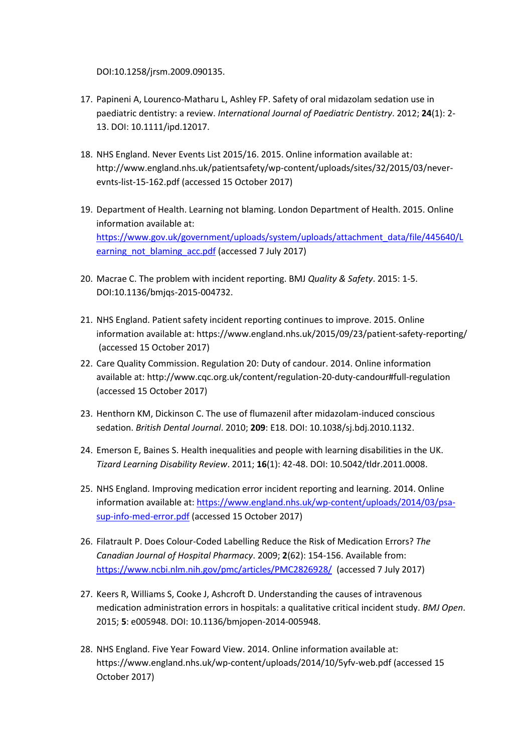DOI:10.1258/jrsm.2009.090135.

- 17. Papineni A, Lourenco-Matharu L, Ashley FP. Safety of oral midazolam sedation use in paediatric dentistry: a review. *International Journal of Paediatric Dentistry*. 2012; **24**(1): 2- 13. DOI: 10.1111/ipd.12017.
- 18. NHS England. Never Events List 2015/16. 2015. Online information available at: http://www.england.nhs.uk/patientsafety/wp-content/uploads/sites/32/2015/03/neverevnts-list-15-162.pdf (accessed 15 October 2017)
- 19. Department of Health. Learning not blaming. London Department of Health. 2015. Online information available at: [https://www.gov.uk/government/uploads/system/uploads/attachment\\_data/file/445640/L](https://www.gov.uk/government/uploads/system/uploads/attachment_data/file/445640/Learning_not_blaming_acc.pdf) [earning\\_not\\_blaming\\_acc.pdf](https://www.gov.uk/government/uploads/system/uploads/attachment_data/file/445640/Learning_not_blaming_acc.pdf) (accessed 7 July 2017)
- 20. Macrae C. The problem with incident reporting. BMJ *Quality & Safety*. 2015: 1-5. DOI:10.1136/bmjqs-2015-004732.
- 21. NHS England. Patient safety incident reporting continues to improve. 2015. Online information available at: https://www.england.nhs.uk/2015/09/23/patient-safety-reporting/ (accessed 15 October 2017)
- 22. Care Quality Commission. Regulation 20: Duty of candour. 2014. Online information available at: http://www.cqc.org.uk/content/regulation-20-duty-candour#full-regulation (accessed 15 October 2017)
- 23. Henthorn KM, Dickinson C. The use of flumazenil after midazolam-induced conscious sedation. *British Dental Journal*. 2010; **209**: E18. DOI: 10.1038/sj.bdj.2010.1132.
- 24. Emerson E, Baines S. Health inequalities and people with learning disabilities in the UK. *Tizard Learning Disability Review*. 2011; **16**(1): 42-48. DOI: 10.5042/tldr.2011.0008.
- 25. NHS England. Improving medication error incident reporting and learning. 2014. Online information available at: [https://www.england.nhs.uk/wp-content/uploads/2014/03/psa](https://www.england.nhs.uk/wp-content/uploads/2014/03/psa-sup-info-med-error.pdf)[sup-info-med-error.pdf](https://www.england.nhs.uk/wp-content/uploads/2014/03/psa-sup-info-med-error.pdf) (accessed 15 October 2017)
- 26. Filatrault P. Does Colour-Coded Labelling Reduce the Risk of Medication Errors? *The Canadian Journal of Hospital Pharmacy*. 2009; **2**(62): 154-156. Available from: <https://www.ncbi.nlm.nih.gov/pmc/articles/PMC2826928/>(accessed 7 July 2017)
- 27. Keers R, Williams S, Cooke J, Ashcroft D. Understanding the causes of intravenous medication administration errors in hospitals: a qualitative critical incident study. *BMJ Open*. 2015; **5**: e005948. DOI: 10.1136/bmjopen-2014-005948.
- 28. NHS England. Five Year Foward View. 2014. Online information available at: https://www.england.nhs.uk/wp-content/uploads/2014/10/5yfv-web.pdf (accessed 15 October 2017)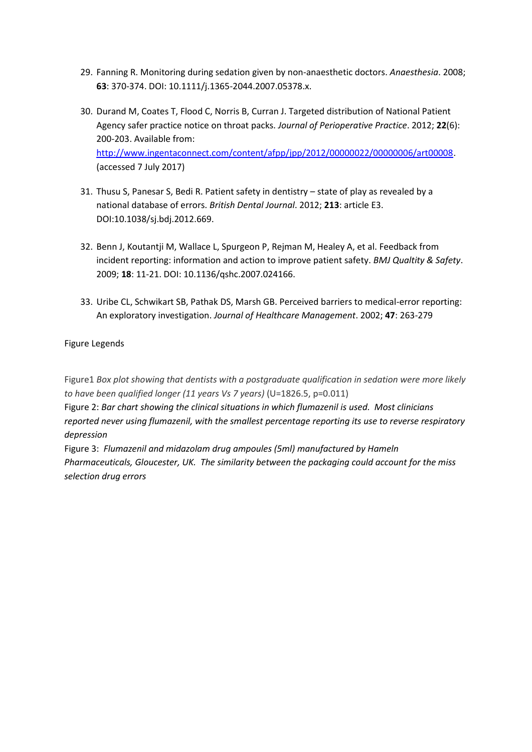- 29. Fanning R. Monitoring during sedation given by non-anaesthetic doctors. *Anaesthesia*. 2008; **63**: 370-374. DOI: 10.1111/j.1365-2044.2007.05378.x.
- 30. Durand M, Coates T, Flood C, Norris B, Curran J. Targeted distribution of National Patient Agency safer practice notice on throat packs. *Journal of Perioperative Practice*. 2012; **22**(6): 200-203. Available from: [http://www.ingentaconnect.com/content/afpp/jpp/2012/00000022/00000006/art00008.](http://www.ingentaconnect.com/content/afpp/jpp/2012/00000022/00000006/art00008) (accessed 7 July 2017)
- 31. Thusu S, Panesar S, Bedi R. Patient safety in dentistry state of play as revealed by a national database of errors. *British Dental Journal*. 2012; **213**: article E3. DOI:10.1038/sj.bdj.2012.669.
- 32. Benn J, Koutantji M, Wallace L, Spurgeon P, Rejman M, Healey A, et al. Feedback from incident reporting: information and action to improve patient safety. *BMJ Qualtity & Safety*. 2009; **18**: 11-21. DOI: 10.1136/qshc.2007.024166.
- 33. Uribe CL, Schwikart SB, Pathak DS, Marsh GB. Perceived barriers to medical-error reporting: An exploratory investigation. *Journal of Healthcare Management*. 2002; **47**: 263-279

# Figure Legends

Figure1 *Box plot showing that dentists with a postgraduate qualification in sedation were more likely to have been qualified longer (11 years Vs 7 years)* (U=1826.5, p=0.011)

Figure 2: *Bar chart showing the clinical situations in which flumazenil is used. Most clinicians reported never using flumazenil, with the smallest percentage reporting its use to reverse respiratory depression*

Figure 3: *Flumazenil and midazolam drug ampoules (5ml) manufactured by Hameln Pharmaceuticals, Gloucester, UK. The similarity between the packaging could account for the miss selection drug errors*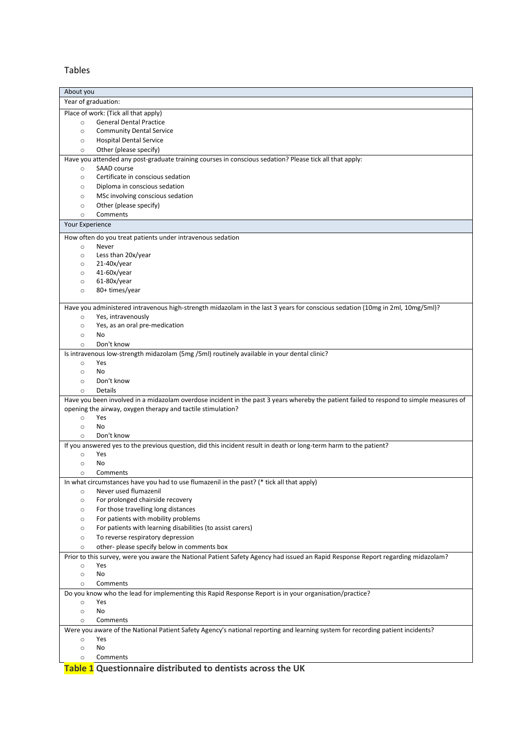Tables

|                     | About you                                                                                                                               |  |  |  |
|---------------------|-----------------------------------------------------------------------------------------------------------------------------------------|--|--|--|
| Year of graduation: |                                                                                                                                         |  |  |  |
|                     | Place of work: (Tick all that apply)                                                                                                    |  |  |  |
| $\circ$             | <b>General Dental Practice</b>                                                                                                          |  |  |  |
| $\circ$             | <b>Community Dental Service</b>                                                                                                         |  |  |  |
| $\circ$             | <b>Hospital Dental Service</b>                                                                                                          |  |  |  |
| $\circ$             | Other (please specify)                                                                                                                  |  |  |  |
|                     | Have you attended any post-graduate training courses in conscious sedation? Please tick all that apply:                                 |  |  |  |
| $\circ$             | SAAD course                                                                                                                             |  |  |  |
| $\circ$             | Certificate in conscious sedation                                                                                                       |  |  |  |
| O                   | Diploma in conscious sedation                                                                                                           |  |  |  |
| $\circ$             | MSc involving conscious sedation                                                                                                        |  |  |  |
| $\circ$<br>$\circ$  | Other (please specify)<br>Comments                                                                                                      |  |  |  |
|                     |                                                                                                                                         |  |  |  |
| Your Experience     |                                                                                                                                         |  |  |  |
|                     | How often do you treat patients under intravenous sedation                                                                              |  |  |  |
| $\circ$             | Never                                                                                                                                   |  |  |  |
| $\circ$             | Less than 20x/year                                                                                                                      |  |  |  |
| $\circ$             | $21-40x/year$                                                                                                                           |  |  |  |
| $\circ$<br>$\circ$  | $41-60x/year$<br>$61-80x/year$                                                                                                          |  |  |  |
| $\circ$             | 80+ times/year                                                                                                                          |  |  |  |
|                     |                                                                                                                                         |  |  |  |
|                     | Have you administered intravenous high-strength midazolam in the last 3 years for conscious sedation (10mg in 2ml, 10mg/5ml)?           |  |  |  |
| $\circ$             | Yes, intravenously                                                                                                                      |  |  |  |
| $\circ$             | Yes, as an oral pre-medication                                                                                                          |  |  |  |
| $\circ$             | <b>No</b>                                                                                                                               |  |  |  |
| $\circ$             | Don't know                                                                                                                              |  |  |  |
|                     | Is intravenous low-strength midazolam (5mg /5ml) routinely available in your dental clinic?                                             |  |  |  |
| $\circ$             | Yes                                                                                                                                     |  |  |  |
| $\circ$             | No.                                                                                                                                     |  |  |  |
| $\circ$             | Don't know                                                                                                                              |  |  |  |
| $\circ$             | Details                                                                                                                                 |  |  |  |
|                     | Have you been involved in a midazolam overdose incident in the past 3 years whereby the patient failed to respond to simple measures of |  |  |  |
| $\circ$             | opening the airway, oxygen therapy and tactile stimulation?<br>Yes                                                                      |  |  |  |
| $\circ$             | No                                                                                                                                      |  |  |  |
| $\circ$             | Don't know                                                                                                                              |  |  |  |
|                     | If you answered yes to the previous question, did this incident result in death or long-term harm to the patient?                       |  |  |  |
| $\circ$             | Yes                                                                                                                                     |  |  |  |
| $\circ$             | <b>No</b>                                                                                                                               |  |  |  |
| $\circ$             | Comments                                                                                                                                |  |  |  |
|                     | In what circumstances have you had to use flumazenil in the past? (* tick all that apply)                                               |  |  |  |
| $\circ$             | Never used flumazenil                                                                                                                   |  |  |  |
| $\circ$             | For prolonged chairside recovery                                                                                                        |  |  |  |
| $\circ$             | For those travelling long distances                                                                                                     |  |  |  |
| $\circ$             | For patients with mobility problems                                                                                                     |  |  |  |
| $\circ$             | For patients with learning disabilities (to assist carers)                                                                              |  |  |  |
| $\circ$             | To reverse respiratory depression                                                                                                       |  |  |  |
| $\circ$             | other-please specify below in comments box                                                                                              |  |  |  |
|                     | Prior to this survey, were you aware the National Patient Safety Agency had issued an Rapid Response Report regarding midazolam?        |  |  |  |
| $\circ$             | Yes                                                                                                                                     |  |  |  |
| $\circ$             | No                                                                                                                                      |  |  |  |
| $\circ$             | Comments                                                                                                                                |  |  |  |
|                     | Do you know who the lead for implementing this Rapid Response Report is in your organisation/practice?                                  |  |  |  |
| $\circ$             | Yes                                                                                                                                     |  |  |  |
| $\circ$             | No                                                                                                                                      |  |  |  |
| $\circ$             | Comments                                                                                                                                |  |  |  |
|                     | Were you aware of the National Patient Safety Agency's national reporting and learning system for recording patient incidents?          |  |  |  |
| $\circ$<br>$\circ$  | Yes<br>No                                                                                                                               |  |  |  |
| $\circ$             | Comments                                                                                                                                |  |  |  |
|                     |                                                                                                                                         |  |  |  |

**Table 1 Questionnaire distributed to dentists across the UK**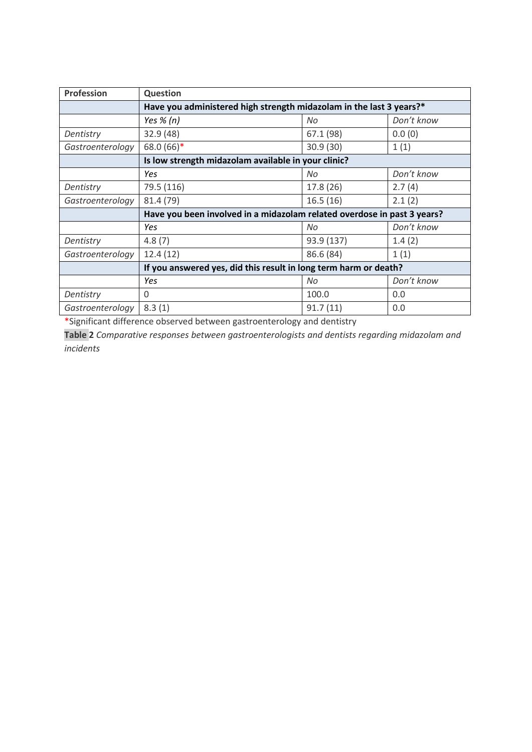| Profession                                          | <b>Question</b>                                                         |            |            |  |
|-----------------------------------------------------|-------------------------------------------------------------------------|------------|------------|--|
|                                                     | Have you administered high strength midazolam in the last 3 years?*     |            |            |  |
|                                                     | Yes $% (n)$                                                             | No         | Don't know |  |
| Dentistry                                           | 32.9 (48)                                                               | 67.1 (98)  | 0.0(0)     |  |
| Gastroenterology                                    | 68.0 (66)*                                                              | 30.9(30)   | 1(1)       |  |
| Is low strength midazolam available in your clinic? |                                                                         |            |            |  |
|                                                     | Yes                                                                     | No         | Don't know |  |
| Dentistry                                           | 79.5 (116)                                                              | 17.8 (26)  | 2.7(4)     |  |
| Gastroenterology                                    | 81.4 (79)                                                               | 16.5(16)   | 2.1(2)     |  |
|                                                     | Have you been involved in a midazolam related overdose in past 3 years? |            |            |  |
|                                                     | Yes                                                                     | No         | Don't know |  |
| Dentistry                                           | 4.8(7)                                                                  | 93.9 (137) | 1.4(2)     |  |
| Gastroenterology                                    | 12.4(12)                                                                | 86.6 (84)  | 1(1)       |  |
|                                                     | If you answered yes, did this result in long term harm or death?        |            |            |  |
|                                                     | Yes                                                                     | No         | Don't know |  |
| Dentistry                                           | $\Omega$                                                                | 100.0      | 0.0        |  |
| Gastroenterology                                    | 8.3(1)                                                                  | 91.7(11)   | 0.0        |  |

\*Significant difference observed between gastroenterology and dentistry

**Table 2** *Comparative responses between gastroenterologists and dentists regarding midazolam and incidents*